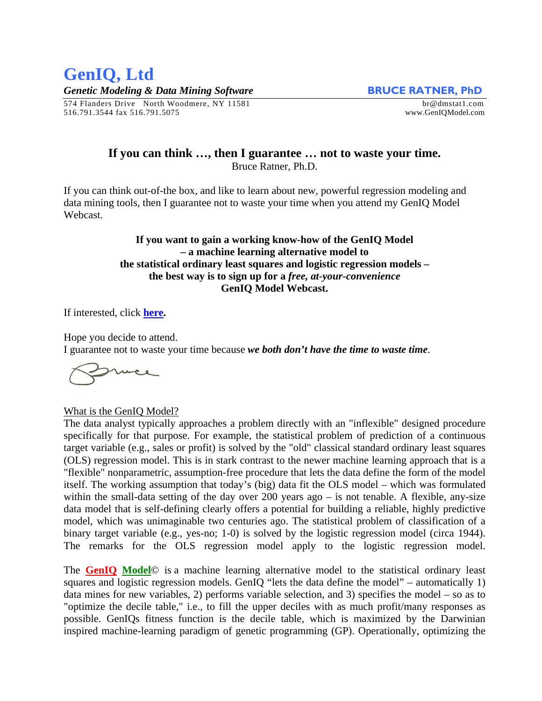## **GenIQ, Ltd**  *Genetic Modeling & Data Mining Software* **BRUCE RATNER, PhD**

574 Flanders Drive North Woodmere, NY 11581 br@dmstat1.com 516.791.3544 fax 516.791.5075 www.GenIQModel.com

## **If you can think …, then I guarantee … not to waste your time.**  Bruce Ratner, Ph.D.

If you can think out-of-the box, and like to learn about new, powerful regression modeling and data mining tools, then I guarantee not to waste your time when you attend my GenIQ Model Webcast.

## **If you want to gain a working know-how of the GenIQ Model – a machine learning alternative model to the statistical ordinary least squares and logistic regression models – the best way is to sign up for a** *free, at-your-convenience* **GenIQ Model Webcast.**

If interested, click **[here.](http://www.geniqmodel.com/Webcast.html)**

Hope you decide to attend.

I guarantee not to waste your time because *we both don't have the time to waste time*.

What is the GenIQ Model?

The data analyst typically approaches a problem directly with an "inflexible" designed procedure specifically for that purpose. For example, the statistical problem of prediction of a continuous target variable (e.g., sales or profit) is solved by the "old" classical standard ordinary least squares (OLS) regression model. This is in stark contrast to the newer machine learning approach that is a "flexible" nonparametric, assumption-free procedure that lets the data define the form of the model itself. The working assumption that today's (big) data fit the OLS model – which was formulated within the small-data setting of the day over 200 years ago – is not tenable. A flexible, any-size data model that is self-defining clearly offers a potential for building a reliable, highly predictive model, which was unimaginable two centuries ago. The statistical problem of classification of a binary target variable (e.g., yes-no; 1-0) is solved by the logistic regression model (circa 1944). The remarks for the OLS regression model apply to the logistic regression model.

The **[GenIQ](http://www.geniq.net/Database-Marketing-Model-that-Maximizes-Cum-Lift.html) [Model](http://www.geniq.net/variable-selection-methods-produce-bad-models.html)**© is a machine learning alternative model to the statistical ordinary least squares and logistic regression models. GenIQ "lets the data define the model" – automatically 1) data mines for new variables, 2) performs variable selection, and 3) specifies the model – so as to "optimize the decile table," i.e., to fill the upper deciles with as much profit/many responses as possible. GenIQs fitness function is the decile table, which is maximized by the Darwinian inspired machine-learning paradigm of genetic programming (GP). Operationally, optimizing the